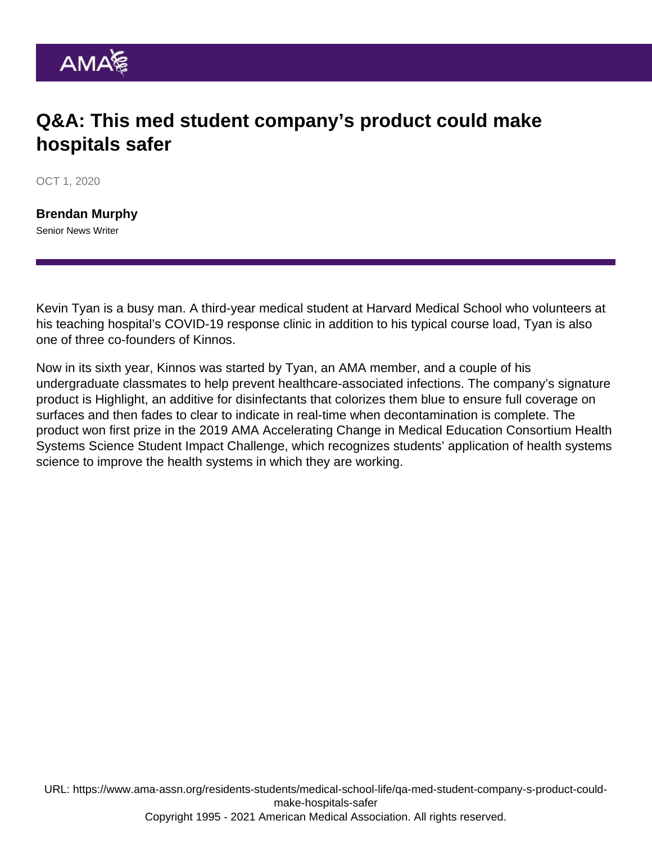## Q&A: This med student company's product could make hospitals safer

OCT 1, 2020

[Brendan Murphy](https://www.ama-assn.org/news-leadership-viewpoints/authors-news-leadership-viewpoints/brendan-murphy) Senior News Writer

Kevin Tyan is a busy man. A third-year medical student at Harvard Medical School who volunteers at his teaching hospital's COVID-19 response clinic in addition to his typical course load, Tyan is also one of three co-founders of Kinnos.

Now in its sixth year, Kinnos was started by Tyan, an AMA member, and a couple of his undergraduate classmates to help prevent healthcare-associated infections. The company's signature product is Highlight, an additive for disinfectants that colorizes them blue to ensure full coverage on surfaces and then fades to clear to indicate in real-time when decontamination is complete. The product [won first prize](https://www.ama-assn.org/education/accelerating-change-medical-education/medical-students-change-agents-how-these-six-are) in the 2019 [AMA Accelerating Change in Medical Education Consortium](https://www.ama-assn.org/education/accelerating-change-medical-education/member-schools-consortium) Health Systems Science Student Impact Challenge, which recognizes students' application of health systems science to improve the health systems in which they are working.

URL: [https://www.ama-assn.org/residents-students/medical-school-life/qa-med-student-company-s-product-could](https://www.ama-assn.org/residents-students/medical-school-life/qa-med-student-company-s-product-could-make-hospitals-safer)[make-hospitals-safer](https://www.ama-assn.org/residents-students/medical-school-life/qa-med-student-company-s-product-could-make-hospitals-safer) Copyright 1995 - 2021 American Medical Association. All rights reserved.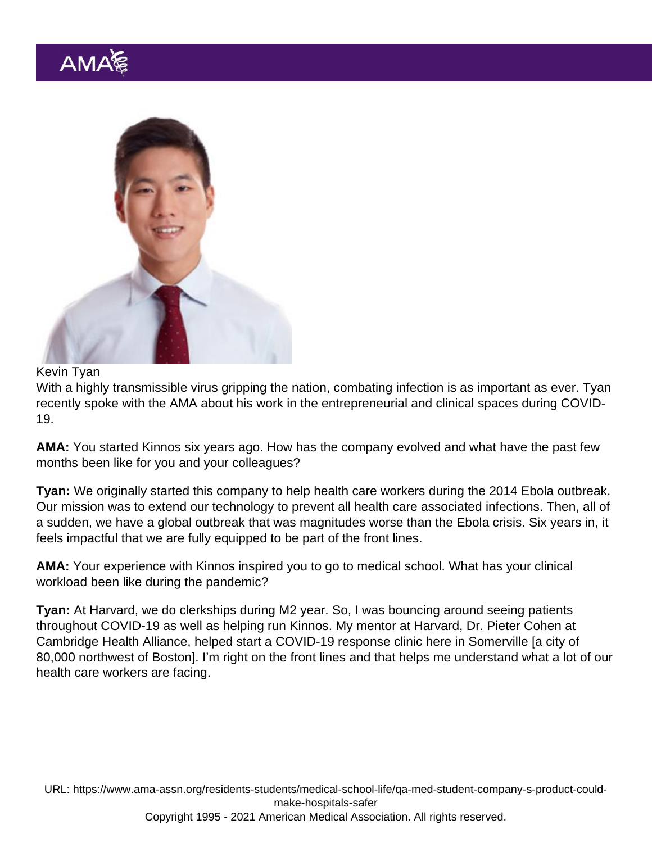Kevin Tyan

With a highly transmissible virus gripping the nation, combating infection is as important as ever. Tyan recently spoke with the AMA about his work in the entrepreneurial and clinical spaces during COVID-19.

AMA: You started Kinnos six years ago. How has the company evolved and what have the past few months been like for you and your colleagues?

Tyan: We originally started this company to help health care workers during the 2014 Ebola outbreak. Our mission was to extend our technology to prevent all health care associated infections. Then, all of a sudden, we have a global outbreak that was magnitudes worse than the Ebola crisis. Six years in, it feels impactful that we are fully equipped to be part of the front lines.

AMA: Your experience with Kinnos inspired you to go to medical school. What has your clinical workload been like during the pandemic?

Tyan: At Harvard, we do clerkships during M2 year. So, I was bouncing around seeing patients throughout COVID-19 as well as helping run Kinnos. My mentor at Harvard, Dr. Pieter Cohen at Cambridge Health Alliance, helped start a COVID-19 response clinic here in Somerville [a city of 80,000 northwest of Boston]. I'm right on the front lines and that helps me understand what a lot of our health care workers are facing.

URL: [https://www.ama-assn.org/residents-students/medical-school-life/qa-med-student-company-s-product-could](https://www.ama-assn.org/residents-students/medical-school-life/qa-med-student-company-s-product-could-make-hospitals-safer)[make-hospitals-safer](https://www.ama-assn.org/residents-students/medical-school-life/qa-med-student-company-s-product-could-make-hospitals-safer) Copyright 1995 - 2021 American Medical Association. All rights reserved.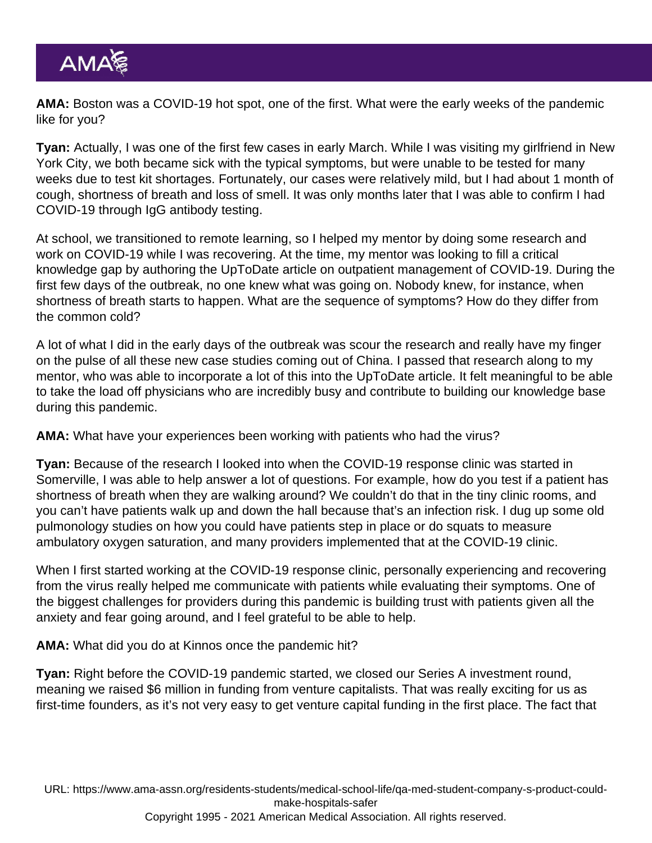AMA: Boston was a COVID-19 hot spot, one of the first. What were the early weeks of the pandemic like for you?

Tyan: Actually, I was one of the first few cases in early March. While I was visiting my girlfriend in New York City, we both became sick with the typical symptoms, but were unable to be tested for many weeks due to test kit shortages. Fortunately, our cases were relatively mild, but I had about 1 month of cough, shortness of breath and loss of smell. It was only months later that I was able to confirm I had COVID-19 through IgG antibody testing.

At school, we transitioned to remote learning, so I helped my mentor by doing some research and work on COVID-19 while I was recovering. At the time, my mentor was looking to fill a critical knowledge gap by authoring the UpToDate article on outpatient management of COVID-19. During the first few days of the outbreak, no one knew what was going on. Nobody knew, for instance, when shortness of breath starts to happen. What are the sequence of symptoms? How do they differ from the common cold?

A lot of what I did in the early days of the outbreak was scour the research and really have my finger on the pulse of all these new case studies coming out of China. I passed that research along to my mentor, who was able to incorporate a lot of this into the UpToDate article. It felt meaningful to be able to take the load off physicians who are incredibly busy and contribute to building our knowledge base during this pandemic.

AMA: What have your experiences been working with patients who had the virus?

Tyan: Because of the research I looked into when the COVID-19 response clinic was started in Somerville, I was able to help answer a lot of questions. For example, how do you test if a patient has shortness of breath when they are walking around? We couldn't do that in the tiny clinic rooms, and you can't have patients walk up and down the hall because that's an infection risk. I dug up some old pulmonology studies on how you could have patients step in place or do squats to measure ambulatory oxygen saturation, and many providers implemented that at the COVID-19 clinic.

When I first started working at the COVID-19 response clinic, personally experiencing and recovering from the virus really helped me communicate with patients while evaluating their symptoms. One of the biggest challenges for providers during this pandemic is building trust with patients given all the anxiety and fear going around, and I feel grateful to be able to help.

AMA: What did you do at Kinnos once the pandemic hit?

Tyan: Right before the COVID-19 pandemic started, we closed our Series A investment round, meaning we raised \$6 million in funding from venture capitalists. That was really exciting for us as first-time founders, as it's not very easy to get venture capital funding in the first place. The fact that

URL: [https://www.ama-assn.org/residents-students/medical-school-life/qa-med-student-company-s-product-could](https://www.ama-assn.org/residents-students/medical-school-life/qa-med-student-company-s-product-could-make-hospitals-safer)[make-hospitals-safer](https://www.ama-assn.org/residents-students/medical-school-life/qa-med-student-company-s-product-could-make-hospitals-safer)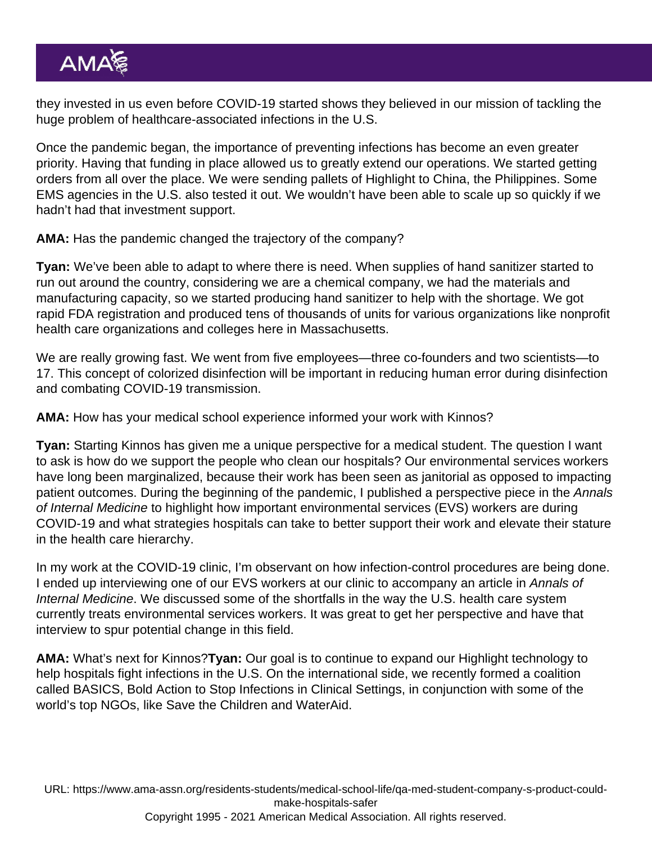they invested in us even before COVID-19 started shows they believed in our mission of tackling the huge problem of healthcare-associated infections in the U.S.

Once the pandemic began, the importance of preventing infections has become an even greater priority. Having that funding in place allowed us to greatly extend our operations. We started getting orders from all over the place. We were sending pallets of Highlight to China, the Philippines. Some EMS agencies in the U.S. also tested it out. We wouldn't have been able to scale up so quickly if we hadn't had that investment support.

AMA: Has the pandemic changed the trajectory of the company?

Tyan: We've been able to adapt to where there is need. When supplies of hand sanitizer started to run out around the country, considering we are a chemical company, we had the materials and manufacturing capacity, so we started producing hand sanitizer to help with the shortage. We got rapid FDA registration and produced tens of thousands of units for various organizations like nonprofit health care organizations and colleges here in Massachusetts.

We are really growing fast. We went from five employees—three co-founders and two scientists—to 17. This concept of colorized disinfection will be important in reducing human error during disinfection and combating COVID-19 transmission.

AMA: How has your medical school experience informed your work with Kinnos?

Tyan: Starting Kinnos has given me a unique perspective for a medical student. The question I want to ask is how do we support the people who clean our hospitals? Our environmental services workers have long been marginalized, because their work has been seen as janitorial as opposed to impacting patient outcomes. During the beginning of the pandemic, I published a perspective piece in the Annals of Internal Medicine to highlight how important environmental services (EVS) workers are during COVID-19 and what strategies hospitals can take to better support their work and elevate their stature in the health care hierarchy.

In my work at the COVID-19 clinic, I'm observant on how infection-control procedures are being done. I ended up interviewing one of our EVS workers at our clinic to accompany an article in [Annals of](https://www.acpjournals.org/doi/10.7326/M20-2237) [Internal Medicine](https://www.acpjournals.org/doi/10.7326/M20-2237). We discussed some of the shortfalls in the way the U.S. health care system currently treats environmental services workers. It was great to get her perspective and have that interview to spur potential change in this field.

AMA: What's next for Kinnos?Tyan: Our goal is to continue to expand our Highlight technology to help hospitals fight infections in the U.S. On the international side, we recently formed a coalition called BASICS, Bold Action to Stop Infections in Clinical Settings, in conjunction with some of the world's top NGOs, like Save the Children and WaterAid.

URL: [https://www.ama-assn.org/residents-students/medical-school-life/qa-med-student-company-s-product-could](https://www.ama-assn.org/residents-students/medical-school-life/qa-med-student-company-s-product-could-make-hospitals-safer)[make-hospitals-safer](https://www.ama-assn.org/residents-students/medical-school-life/qa-med-student-company-s-product-could-make-hospitals-safer)